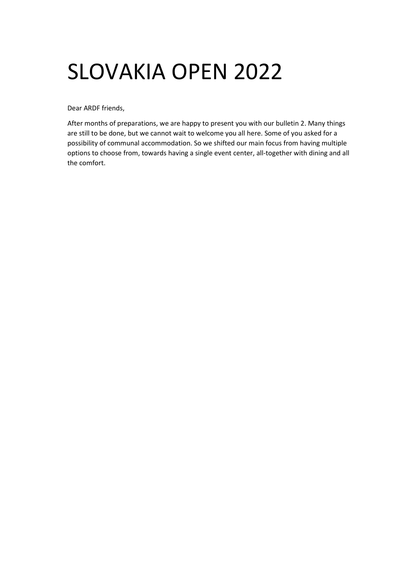# SLOVAKIA OPEN 2022

Dear ARDF friends,

After months of preparations, we are happy to present you with our bulletin 2. Many things are still to be done, but we cannot wait to welcome you all here. Some of you asked for a possibility of communal accommodation. So we shifted our main focus from having multiple options to choose from, towards having a single event center, all-together with dining and all the comfort.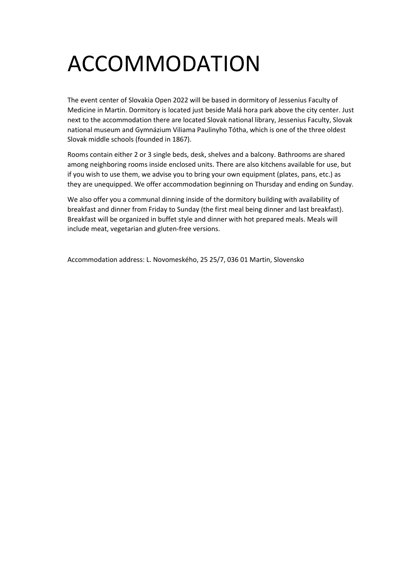# ACCOMMODATION

The event center of Slovakia Open 2022 will be based in dormitory of Jessenius Faculty of Medicine in Martin. Dormitory is located just beside Malá hora park above the city center. Just next to the accommodation there are located Slovak national library, Jessenius Faculty, Slovak national museum and Gymnázium Viliama Paulinyho Tótha, which is one of the three oldest Slovak middle schools (founded in 1867).

Rooms contain either 2 or 3 single beds, desk, shelves and a balcony. Bathrooms are shared among neighboring rooms inside enclosed units. There are also kitchens available for use, but if you wish to use them, we advise you to bring your own equipment (plates, pans, etc.) as they are unequipped. We offer accommodation beginning on Thursday and ending on Sunday.

We also offer you a communal dinning inside of the dormitory building with availability of breakfast and dinner from Friday to Sunday (the first meal being dinner and last breakfast). Breakfast will be organized in buffet style and dinner with hot prepared meals. Meals will include meat, vegetarian and gluten-free versions.

Accommodation address: L. Novomeského, 25 25/7, 036 01 Martin, Slovensko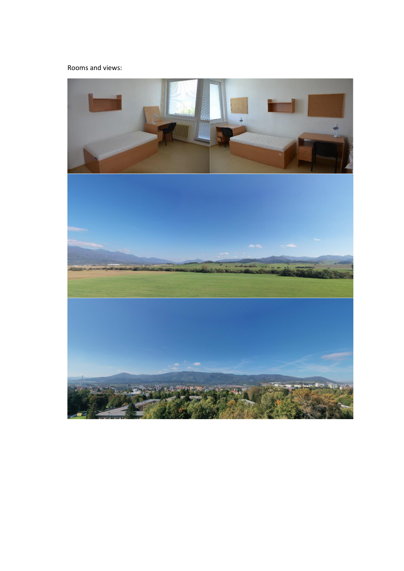#### Rooms and views:

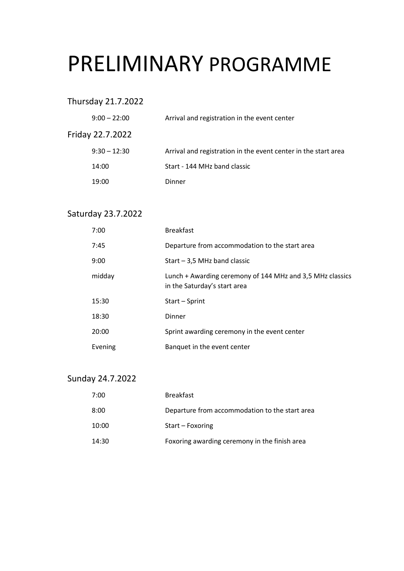#### PRELIMINARY PROGRAMME

Thursday 21.7.2022

| $9:00 - 22:00$   | Arrival and registration in the event center                   |
|------------------|----------------------------------------------------------------|
| Friday 22.7.2022 |                                                                |
| $9:30 - 12:30$   | Arrival and registration in the event center in the start area |
| 14:00            | Start - 144 MHz band classic                                   |
| 19:00            | Dinner                                                         |

#### Saturday 23.7.2022

| 7:00    | <b>Breakfast</b>                                                                          |
|---------|-------------------------------------------------------------------------------------------|
| 7:45    | Departure from accommodation to the start area                                            |
| 9:00    | Start $-3,5$ MHz band classic                                                             |
| midday  | Lunch + Awarding ceremony of 144 MHz and 3,5 MHz classics<br>in the Saturday's start area |
| 15:30   | Start - Sprint                                                                            |
| 18:30   | Dinner                                                                                    |
| 20:00   | Sprint awarding ceremony in the event center                                              |
| Evening | Banquet in the event center                                                               |

#### Sunday 24.7.2022

| 7:00  | <b>Breakfast</b>                               |
|-------|------------------------------------------------|
| 8:00  | Departure from accommodation to the start area |
| 10:00 | Start - Foxoring                               |
| 14:30 | Foxoring awarding ceremony in the finish area  |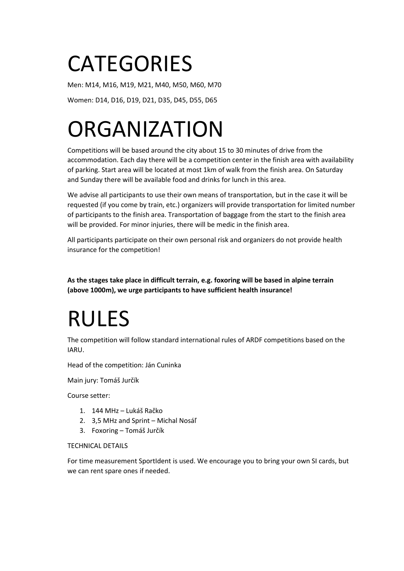### **CATEGORIES**

Men: M14, M16, M19, M21, M40, M50, M60, M70

Women: D14, D16, D19, D21, D35, D45, D55, D65

# **ORGANIZATION**

Competitions will be based around the city about 15 to 30 minutes of drive from the accommodation. Each day there will be a competition center in the finish area with availability of parking. Start area will be located at most 1km of walk from the finish area. On Saturday and Sunday there will be available food and drinks for lunch in this area.

We advise all participants to use their own means of transportation, but in the case it will be requested (if you come by train, etc.) organizers will provide transportation for limited number of participants to the finish area. Transportation of baggage from the start to the finish area will be provided. For minor injuries, there will be medic in the finish area.

All participants participate on their own personal risk and organizers do not provide health insurance for the competition!

**As the stages take place in difficult terrain, e.g. foxoring will be based in alpine terrain (above 1000m), we urge participants to have sufficient health insurance!**

## RULES

The competition will follow standard international rules of ARDF competitions based on the IARU.

Head of the competition: Ján Cuninka

Main jury: Tomáš Jurčík

Course setter:

- 1. 144 MHz Lukáš Račko
- 2. 3,5 MHz and Sprint Michal Nosáľ
- 3. Foxoring Tomáš Jurčík

#### TECHNICAL DETAILS

For time measurement SportIdent is used. We encourage you to bring your own SI cards, but we can rent spare ones if needed.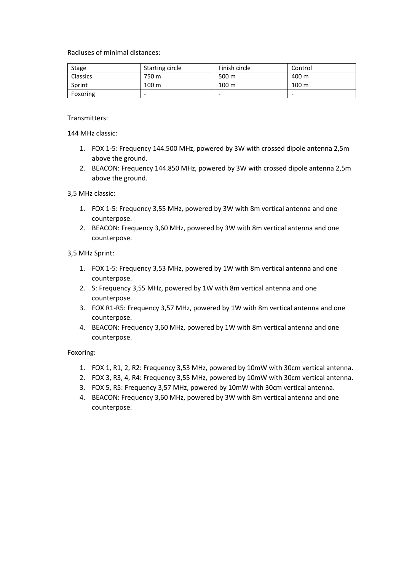Radiuses of minimal distances:

| Stage           | Starting circle | Finish circle    | Control          |
|-----------------|-----------------|------------------|------------------|
| <b>Classics</b> | 750 m           | 500 m            | 400 m            |
| Sprint          | 100 m           | 100 <sub>m</sub> | 100 <sub>m</sub> |
| Foxoring        | -               | ۰                | -                |

Transmitters:

144 MHz classic:

- 1. FOX 1-5: Frequency 144.500 MHz, powered by 3W with crossed dipole antenna 2,5m above the ground.
- 2. BEACON: Frequency 144.850 MHz, powered by 3W with crossed dipole antenna 2,5m above the ground.

3,5 MHz classic:

- 1. FOX 1-5: Frequency 3,55 MHz, powered by 3W with 8m vertical antenna and one counterpose.
- 2. BEACON: Frequency 3,60 MHz, powered by 3W with 8m vertical antenna and one counterpose.

#### 3,5 MHz Sprint:

- 1. FOX 1-5: Frequency 3,53 MHz, powered by 1W with 8m vertical antenna and one counterpose.
- 2. S: Frequency 3,55 MHz, powered by 1W with 8m vertical antenna and one counterpose.
- 3. FOX R1-R5: Frequency 3,57 MHz, powered by 1W with 8m vertical antenna and one counterpose.
- 4. BEACON: Frequency 3,60 MHz, powered by 1W with 8m vertical antenna and one counterpose.

Foxoring:

- 1. FOX 1, R1, 2, R2: Frequency 3,53 MHz, powered by 10mW with 30cm vertical antenna.
- 2. FOX 3, R3, 4, R4: Frequency 3,55 MHz, powered by 10mW with 30cm vertical antenna.
- 3. FOX 5, R5: Frequency 3,57 MHz, powered by 10mW with 30cm vertical antenna.
- 4. BEACON: Frequency 3,60 MHz, powered by 3W with 8m vertical antenna and one counterpose.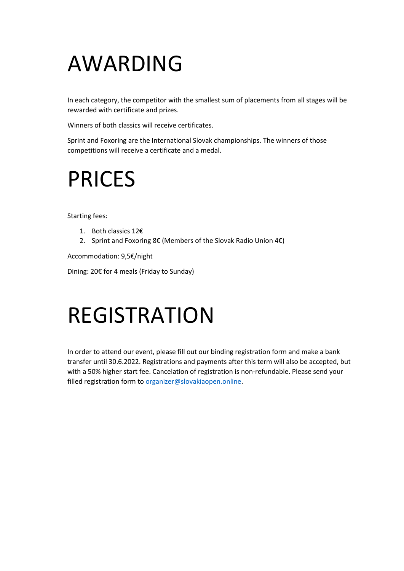### AWARDING

In each category, the competitor with the smallest sum of placements from all stages will be rewarded with certificate and prizes.

Winners of both classics will receive certificates.

Sprint and Foxoring are the International Slovak championships. The winners of those competitions will receive a certificate and a medal.

#### PRICES

Starting fees:

- 1. Both classics 12€
- 2. Sprint and Foxoring 8€ (Members of the Slovak Radio Union 4€)

Accommodation: 9,5€/night

Dining: 20€ for 4 meals (Friday to Sunday)

#### REGISTRATION

In order to attend our event, please fill out our binding registration form and make a bank transfer until 30.6.2022. Registrations and payments after this term will also be accepted, but with a 50% higher start fee. Cancelation of registration is non-refundable. Please send your filled registration form to [organizer@slovakiaopen.online.](mailto:organizer@slovakiaopen.online)